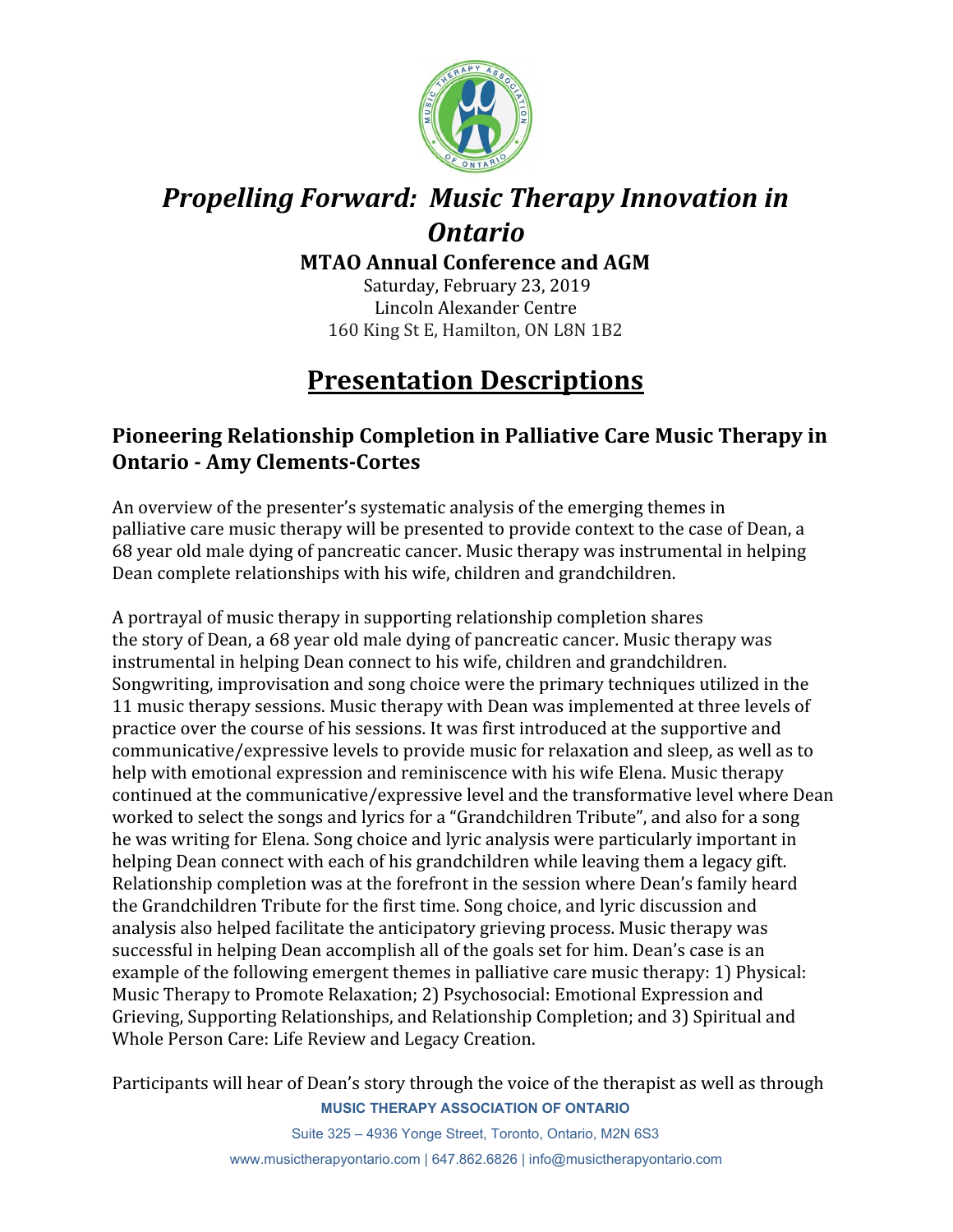

# *Propelling Forward: Music Therapy Innovation in Ontario*

**MTAO Annual Conference and AGM**

 Saturday, February 23, 2019 Lincoln Alexander Centre 160 King St E, Hamilton, ON L8N 1B2

# **Presentation Descriptions**

#### **Pioneering Relationship Completion in Palliative Care Music Therapy in Ontario - Amy Clements-Cortes**

An overview of the presenter's systematic analysis of the emerging themes in palliative care music therapy will be presented to provide context to the case of Dean, a 68 year old male dying of pancreatic cancer. Music therapy was instrumental in helping Dean complete relationships with his wife, children and grandchildren.

A portrayal of music therapy in supporting relationship completion shares the story of Dean, a 68 year old male dying of pancreatic cancer. Music therapy was instrumental in helping Dean connect to his wife, children and grandchildren. Songwriting, improvisation and song choice were the primary techniques utilized in the 11 music therapy sessions. Music therapy with Dean was implemented at three levels of practice over the course of his sessions. It was first introduced at the supportive and communicative/expressive levels to provide music for relaxation and sleep, as well as to help with emotional expression and reminiscence with his wife Elena. Music therapy continued at the communicative/expressive level and the transformative level where Dean worked to select the songs and lyrics for a "Grandchildren Tribute", and also for a song he was writing for Elena. Song choice and lyric analysis were particularly important in helping Dean connect with each of his grandchildren while leaving them a legacy gift. Relationship completion was at the forefront in the session where Dean's family heard the Grandchildren Tribute for the first time. Song choice, and lyric discussion and analysis also helped facilitate the anticipatory grieving process. Music therapy was successful in helping Dean accomplish all of the goals set for him. Dean's case is an example of the following emergent themes in palliative care music therapy: 1) Physical: Music Therapy to Promote Relaxation; 2) Psychosocial: Emotional Expression and Grieving, Supporting Relationships, and Relationship Completion; and 3) Spiritual and Whole Person Care: Life Review and Legacy Creation.

Participants will hear of Dean's story through the voice of the therapist as well as through **MUSIC THERAPY ASSOCIATION OF ONTARIO**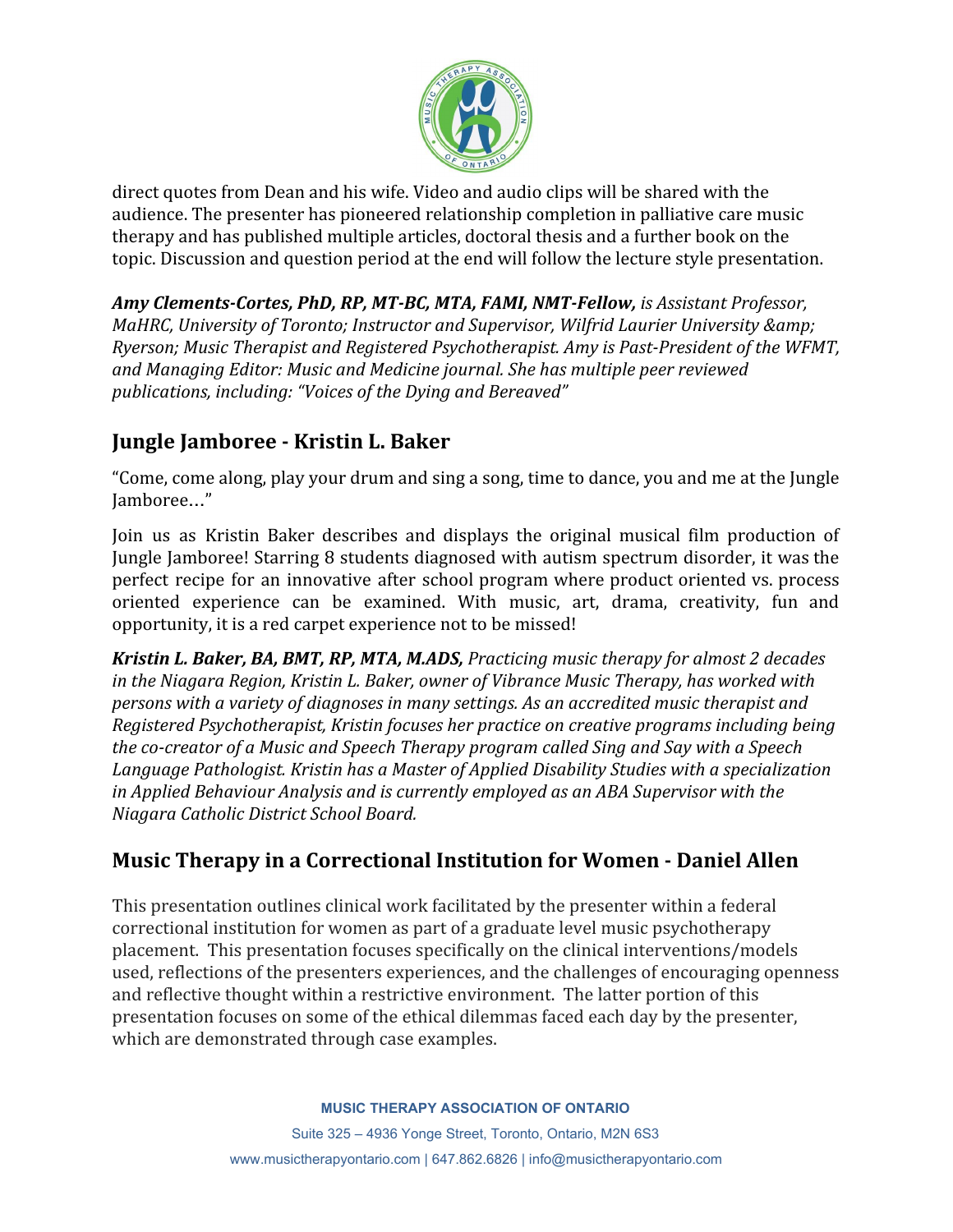

direct quotes from Dean and his wife. Video and audio clips will be shared with the audience. The presenter has pioneered relationship completion in palliative care music therapy and has published multiple articles, doctoral thesis and a further book on the topic. Discussion and question period at the end will follow the lecture style presentation.

*Amy Clements-Cortes, PhD, RP, MT-BC, MTA, FAMI, NMT-Fellow, is Assistant Professor, MaHRC, University of Toronto; Instructor and Supervisor, Wilfrid Laurier University & Ryerson; Music Therapist and Registered Psychotherapist. Amy is Past-President of the WFMT, and Managing Editor: Music and Medicine journal. She has multiple peer reviewed publications, including: "Voices of the Dying and Bereaved"*

### **Jungle Jamboree - Kristin L. Baker**

"Come, come along, play your drum and sing a song, time to dance, you and me at the Jungle Jamboree…"

Join us as Kristin Baker describes and displays the original musical film production of Jungle Jamboree! Starring 8 students diagnosed with autism spectrum disorder, it was the perfect recipe for an innovative after school program where product oriented vs. process oriented experience can be examined. With music, art, drama, creativity, fun and opportunity, it is a red carpet experience not to be missed!

*Kristin L. Baker, BA, BMT, RP, MTA, M.ADS, Practicing music therapy for almost 2 decades in the Niagara Region, Kristin L. Baker, owner of Vibrance Music Therapy, has worked with persons with a variety of diagnoses in many settings. As an accredited music therapist and Registered Psychotherapist, Kristin focuses her practice on creative programs including being the co-creator of a Music and Speech Therapy program called Sing and Say with a Speech Language Pathologist. Kristin has a Master of Applied Disability Studies with a specialization in Applied Behaviour Analysis and is currently employed as an ABA Supervisor with the Niagara Catholic District School Board.*

## **Music Therapy in a Correctional Institution for Women - Daniel Allen**

This presentation outlines clinical work facilitated by the presenter within a federal correctional institution for women as part of a graduate level music psychotherapy placement. This presentation focuses specifically on the clinical interventions/models used, reflections of the presenters experiences, and the challenges of encouraging openness and reflective thought within a restrictive environment. The latter portion of this presentation focuses on some of the ethical dilemmas faced each day by the presenter, which are demonstrated through case examples.

#### **MUSIC THERAPY ASSOCIATION OF ONTARIO**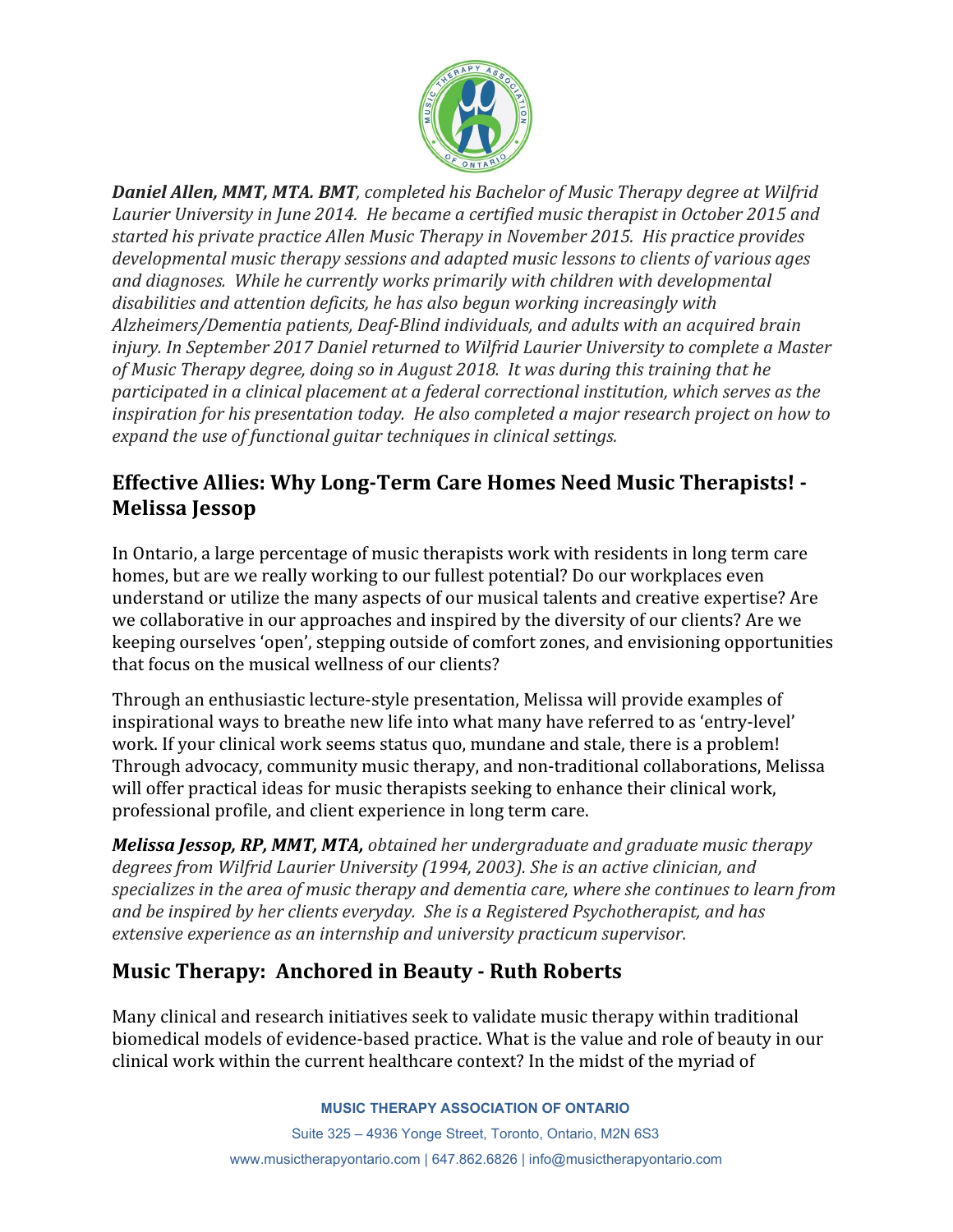

*Daniel Allen, MMT, MTA. BMT, completed his Bachelor of Music Therapy degree at Wilfrid Laurier University in June 2014. He became a certified music therapist in October 2015 and started his private practice Allen Music Therapy in November 2015. His practice provides developmental music therapy sessions and adapted music lessons to clients of various ages and diagnoses. While he currently works primarily with children with developmental disabilities and attention deficits, he has also begun working increasingly with Alzheimers/Dementia patients, Deaf-Blind individuals, and adults with an acquired brain injury. In September 2017 Daniel returned to Wilfrid Laurier University to complete a Master of Music Therapy degree, doing so in August 2018. It was during this training that he participated in a clinical placement at a federal correctional institution, which serves as the inspiration for his presentation today. He also completed a major research project on how to expand the use of functional guitar techniques in clinical settings.*

### **Effective Allies: Why Long-Term Care Homes Need Music Therapists! - Melissa Jessop**

In Ontario, a large percentage of music therapists work with residents in long term care homes, but are we really working to our fullest potential? Do our workplaces even understand or utilize the many aspects of our musical talents and creative expertise? Are we collaborative in our approaches and inspired by the diversity of our clients? Are we keeping ourselves 'open', stepping outside of comfort zones, and envisioning opportunities that focus on the musical wellness of our clients?

Through an enthusiastic lecture-style presentation, Melissa will provide examples of inspirational ways to breathe new life into what many have referred to as 'entry-level' work. If your clinical work seems status quo, mundane and stale, there is a problem! Through advocacy, community music therapy, and non-traditional collaborations, Melissa will offer practical ideas for music therapists seeking to enhance their clinical work, professional profile, and client experience in long term care.

*Melissa Jessop, RP, MMT, MTA, obtained her undergraduate and graduate music therapy degrees from Wilfrid Laurier University (1994, 2003). She is an active clinician, and specializes in the area of music therapy and dementia care, where she continues to learn from and be inspired by her clients everyday. She is a Registered Psychotherapist, and has extensive experience as an internship and university practicum supervisor.*

#### **Music Therapy: Anchored in Beauty - Ruth Roberts**

Many clinical and research initiatives seek to validate music therapy within traditional biomedical models of evidence-based practice. What is the value and role of beauty in our clinical work within the current healthcare context? In the midst of the myriad of

**MUSIC THERAPY ASSOCIATION OF ONTARIO**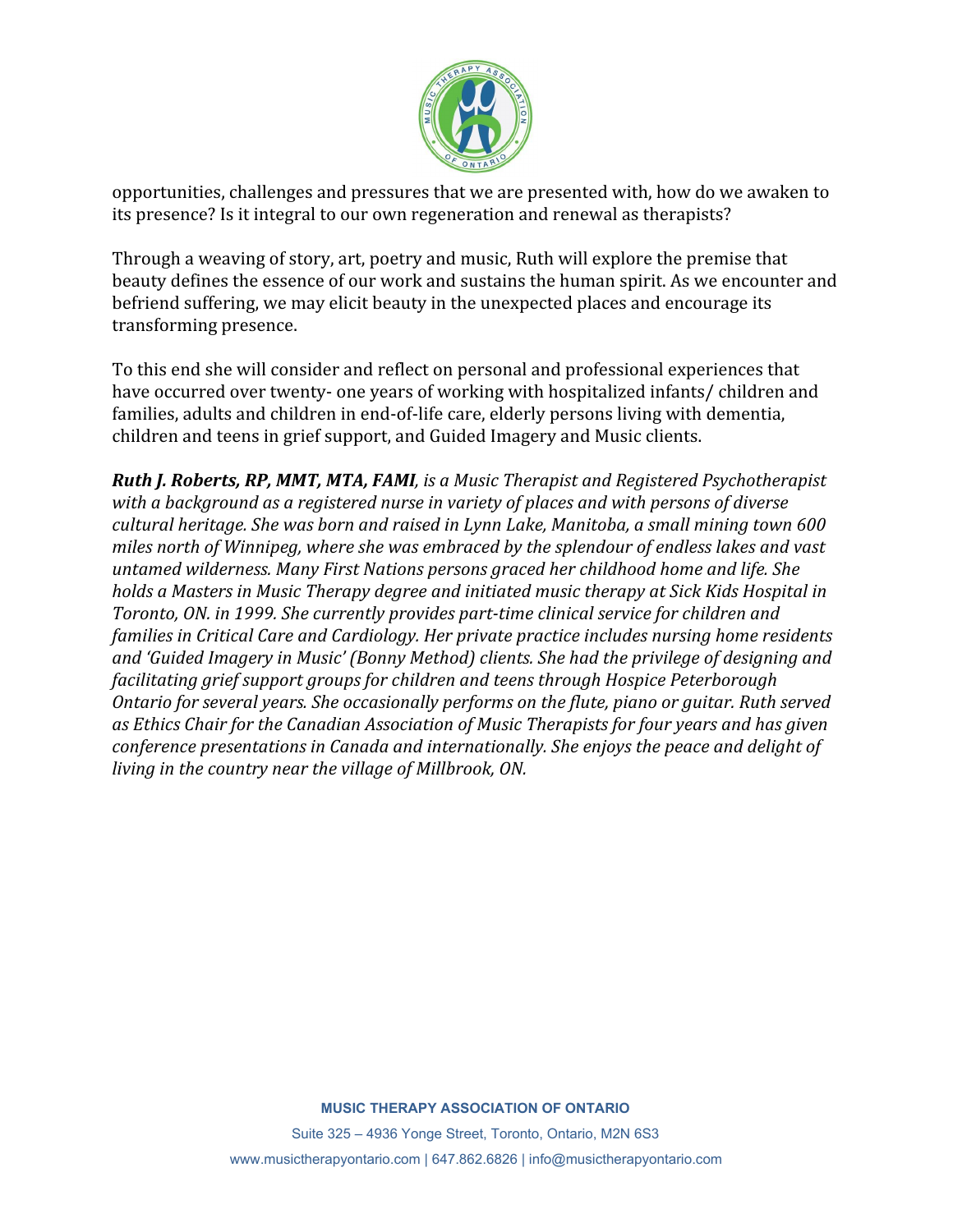

opportunities, challenges and pressures that we are presented with, how do we awaken to its presence? Is it integral to our own regeneration and renewal as therapists?

Through a weaving of story, art, poetry and music, Ruth will explore the premise that beauty defines the essence of our work and sustains the human spirit. As we encounter and befriend suffering, we may elicit beauty in the unexpected places and encourage its transforming presence.

To this end she will consider and reflect on personal and professional experiences that have occurred over twenty- one years of working with hospitalized infants/ children and families, adults and children in end-of-life care, elderly persons living with dementia, children and teens in grief support, and Guided Imagery and Music clients.

*Ruth J. Roberts, RP, MMT, MTA, FAMI, is a Music Therapist and Registered Psychotherapist with a background as a registered nurse in variety of places and with persons of diverse cultural heritage. She was born and raised in Lynn Lake, Manitoba, a small mining town 600 miles north of Winnipeg, where she was embraced by the splendour of endless lakes and vast untamed wilderness. Many First Nations persons graced her childhood home and life. She holds a Masters in Music Therapy degree and initiated music therapy at Sick Kids Hospital in Toronto, ON. in 1999. She currently provides part-time clinical service for children and families in Critical Care and Cardiology. Her private practice includes nursing home residents and 'Guided Imagery in Music' (Bonny Method) clients. She had the privilege of designing and facilitating grief support groups for children and teens through Hospice Peterborough Ontario for several years. She occasionally performs on the flute, piano or guitar. Ruth served as Ethics Chair for the Canadian Association of Music Therapists for four years and has given conference presentations in Canada and internationally. She enjoys the peace and delight of living in the country near the village of Millbrook, ON.*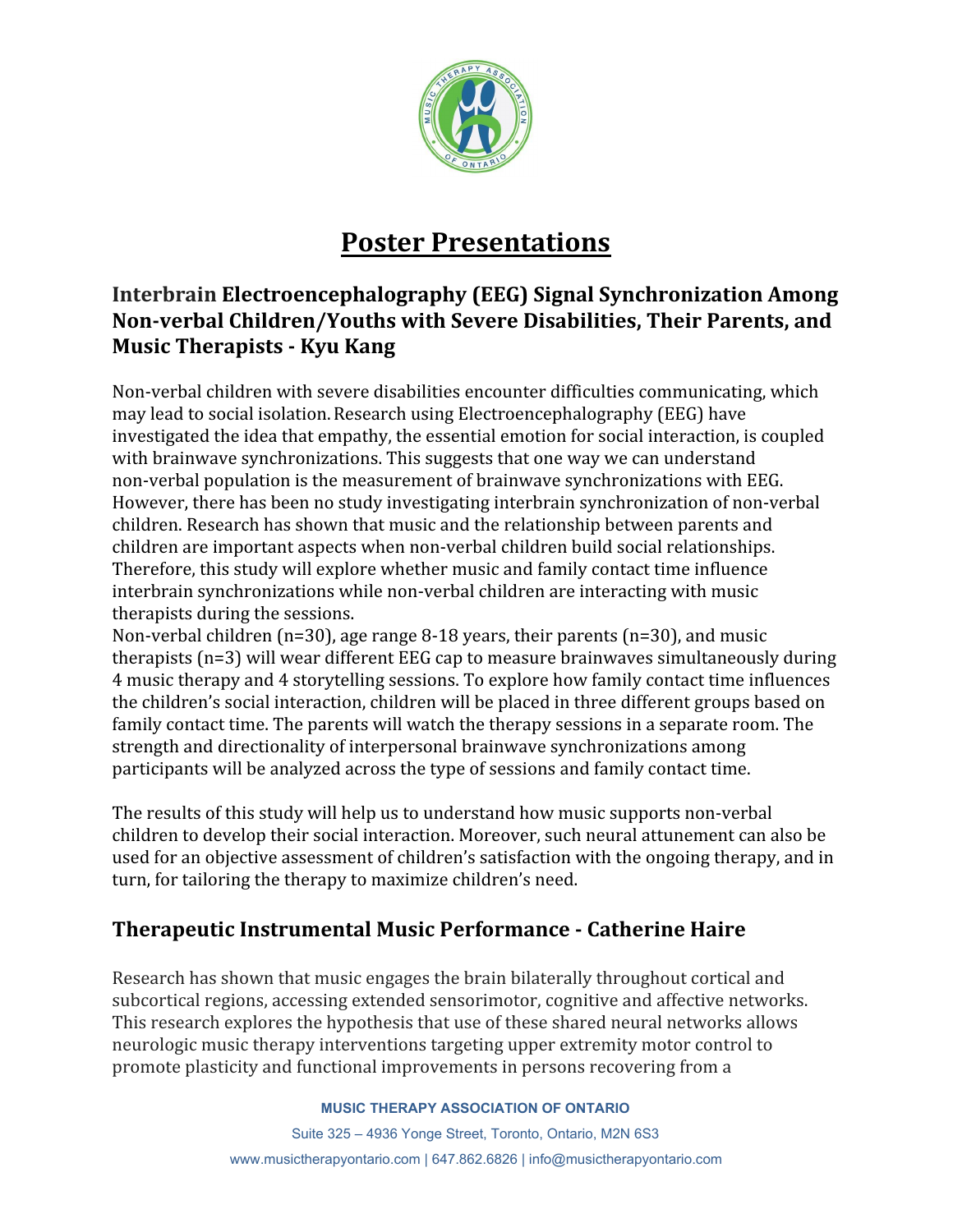

## **Poster Presentations**

### **Interbrain Electroencephalography (EEG) Signal Synchronization Among Non-verbal Children/Youths with Severe Disabilities, Their Parents, and Music Therapists - Kyu Kang**

Non-verbal children with severe disabilities encounter difficulties communicating, which may lead to social isolation.Research using Electroencephalography (EEG) have investigated the idea that empathy, the essential emotion for social interaction, is coupled with brainwave synchronizations. This suggests that one way we can understand non-verbal population is the measurement of brainwave synchronizations with EEG. However, there has been no study investigating interbrain synchronization of non-verbal children. Research has shown that music and the relationship between parents and children are important aspects when non-verbal children build social relationships. Therefore, this study will explore whether music and family contact time influence interbrain synchronizations while non-verbal children are interacting with music therapists during the sessions.

Non-verbal children (n=30), age range 8-18 years, their parents (n=30), and music therapists (n=3) will wear different EEG cap to measure brainwaves simultaneously during 4 music therapy and 4 storytelling sessions. To explore how family contact time influences the children's social interaction, children will be placed in three different groups based on family contact time. The parents will watch the therapy sessions in a separate room. The strength and directionality of interpersonal brainwave synchronizations among participants will be analyzed across the type of sessions and family contact time.

The results of this study will help us to understand how music supports non-verbal children to develop their social interaction. Moreover, such neural attunement can also be used for an objective assessment of children's satisfaction with the ongoing therapy, and in turn, for tailoring the therapy to maximize children's need.

### **Therapeutic Instrumental Music Performance - Catherine Haire**

Research has shown that music engages the brain bilaterally throughout cortical and subcortical regions, accessing extended sensorimotor, cognitive and affective networks. This research explores the hypothesis that use of these shared neural networks allows neurologic music therapy interventions targeting upper extremity motor control to promote plasticity and functional improvements in persons recovering from a

#### **MUSIC THERAPY ASSOCIATION OF ONTARIO**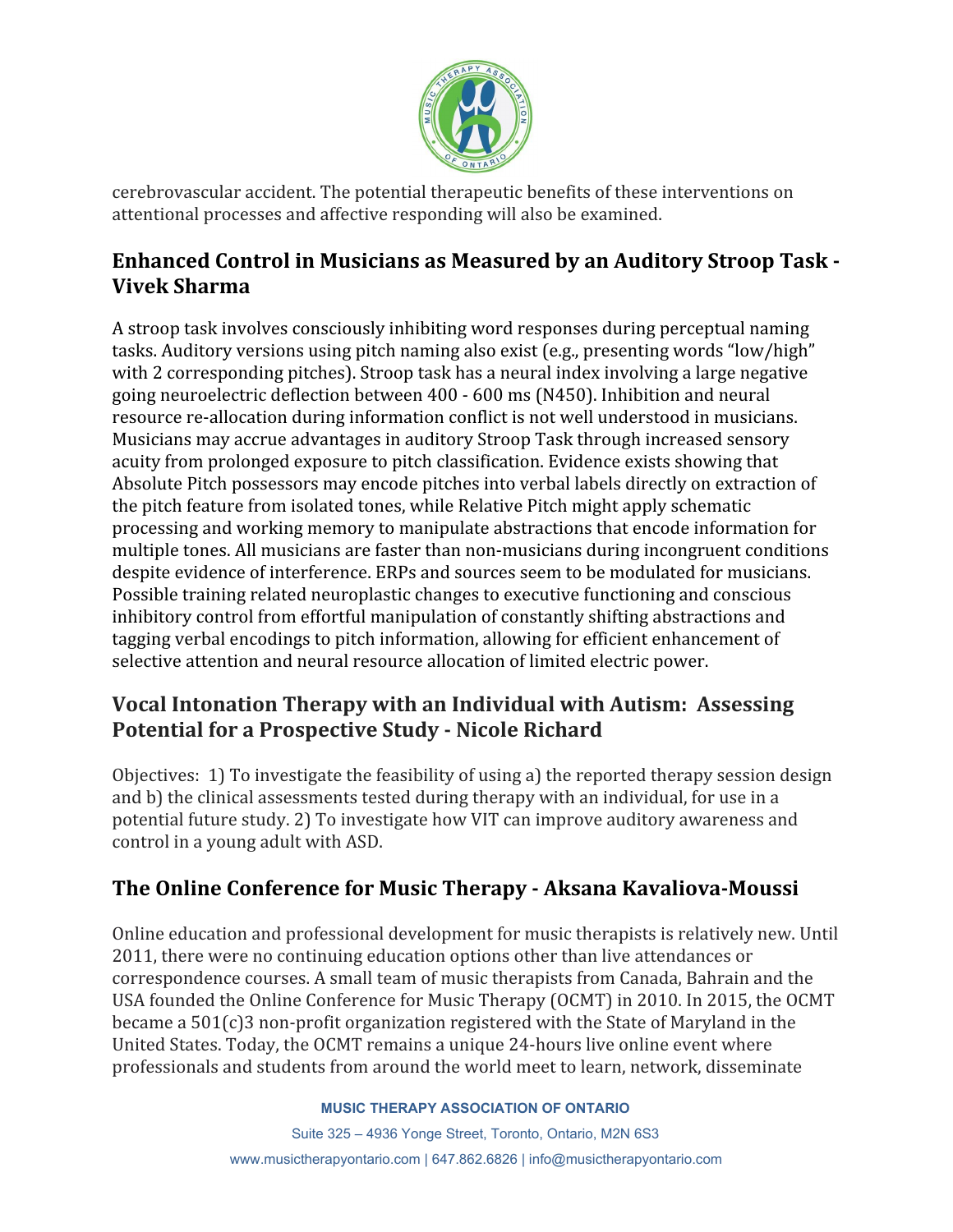

cerebrovascular accident. The potential therapeutic benefits of these interventions on attentional processes and affective responding will also be examined.

#### **Enhanced Control in Musicians as Measured by an Auditory Stroop Task - Vivek Sharma**

A stroop task involves consciously inhibiting word responses during perceptual naming tasks. Auditory versions using pitch naming also exist (e.g., presenting words "low/high" with 2 corresponding pitches). Stroop task has a neural index involving a large negative going neuroelectric deflection between 400 - 600 ms (N450). Inhibition and neural resource re-allocation during information conflict is not well understood in musicians. Musicians may accrue advantages in auditory Stroop Task through increased sensory acuity from prolonged exposure to pitch classification. Evidence exists showing that Absolute Pitch possessors may encode pitches into verbal labels directly on extraction of the pitch feature from isolated tones, while Relative Pitch might apply schematic processing and working memory to manipulate abstractions that encode information for multiple tones. All musicians are faster than non-musicians during incongruent conditions despite evidence of interference. ERPs and sources seem to be modulated for musicians. Possible training related neuroplastic changes to executive functioning and conscious inhibitory control from effortful manipulation of constantly shifting abstractions and tagging verbal encodings to pitch information, allowing for efficient enhancement of selective attention and neural resource allocation of limited electric power.

### **Vocal Intonation Therapy with an Individual with Autism: Assessing Potential for a Prospective Study - Nicole Richard**

Objectives: 1) To investigate the feasibility of using a) the reported therapy session design and b) the clinical assessments tested during therapy with an individual, for use in a potential future study. 2) To investigate how VIT can improve auditory awareness and control in a young adult with ASD.

## **The Online Conference for Music Therapy - Aksana Kavaliova-Moussi**

Online education and professional development for music therapists is relatively new. Until 2011, there were no continuing education options other than live attendances or correspondence courses. A small team of music therapists from Canada, Bahrain and the USA founded the Online Conference for Music Therapy (OCMT) in 2010. In 2015, the OCMT became a 501(c)3 non-profit organization registered with the State of Maryland in the United States. Today, the OCMT remains a unique 24-hours live online event where professionals and students from around the world meet to learn, network, disseminate

#### **MUSIC THERAPY ASSOCIATION OF ONTARIO**